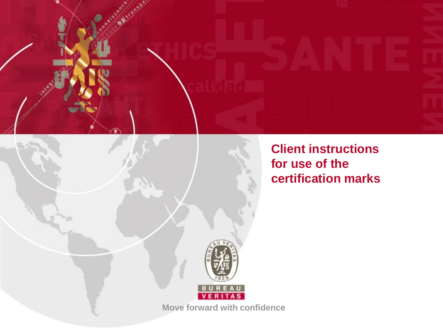

**Client instructions for use of the certification marks**



**Move forward with confidence**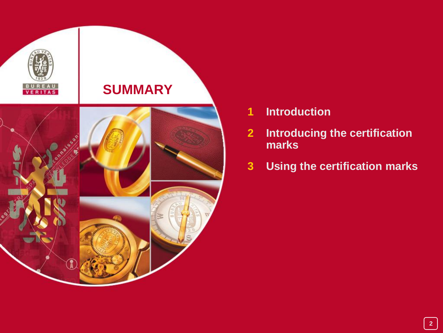

- **Introduction**
- **Introducing the certification marks**
- **Using the certification marks**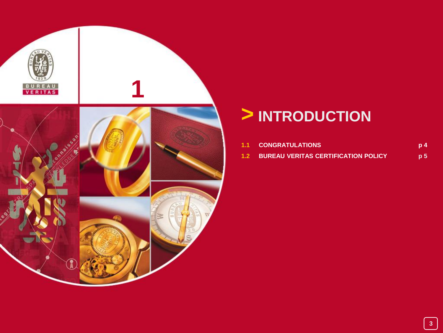

## **> INTRODUCTION**

| <b>1.1 CONGRATULATIONS</b>                     | p <sub>4</sub> |
|------------------------------------------------|----------------|
| <b>1.2 BUREAU VERITAS CERTIFICATION POLICY</b> | p 5            |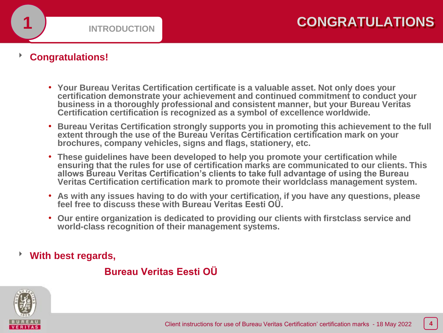### **Congratulations!**

- **Your Bureau Veritas Certification certificate is a valuable asset. Not only does your certification demonstrate your achievement and continued commitment to conduct your business in a thoroughly professional and consistent manner, but your Bureau Veritas Certification certification is recognized as a symbol of excellence worldwide.**
- **Bureau Veritas Certification strongly supports you in promoting this achievement to the full extent through the use of the Bureau Veritas Certification certification mark on your brochures, company vehicles, signs and flags, stationery, etc.**
- **These guidelines have been developed to help you promote your certification while ensuring that the rules for use of certification marks are communicated to our clients. This allows Bureau Veritas Certification's clients to take full advantage of using the Bureau Veritas Certification certification mark to promote their worldclass management system.**
- **As with any issues having to do with your certification, if you have any questions, please feel free to discuss these with Bureau Veritas Eesti OÜ.**
- **Our entire organization is dedicated to providing our clients with firstclass service and world-class recognition of their management systems.**

**With best regards,**

### **Bureau Veritas Eesti OÜ**

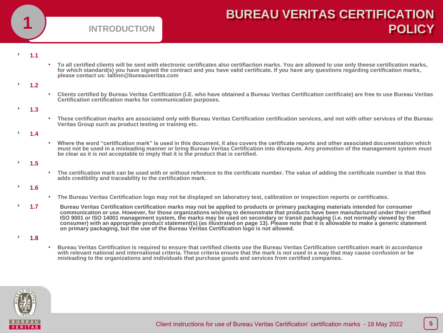

## **BUREAU VERITAS CERTIFICATION POLICY**

### **1.1**

. To all certified clients will be sent with electronic certificates also certifiaction marks. You are allowed to use only theese certification marks, for which standard(s) you have signed the contract and you have valid certificate. If you have any questions regarding certification marks, **please contact us: tallinn@bureauveritas.com**

### **1.2**

• **Clients certified by Bureau Veritas Certification (I.E. who have obtained a Bureau Veritas Certification certificate) are free to use Bureau Veritas Certification certification marks for communication purposes.**

### **1.3**

• **These certification marks are associated only with Bureau Veritas Certification certification services, and not with other services of the Bureau Veritas Group such as product testing or training etc.**

### **1.4**

• **Where the word "certification mark" is used in this document, it also covers the certificate reports and other associated documentation which must not be used in a misleading manner or bring Bureau Veritas Certification into disrepute. Any promotion of the management system must be clear as it is not acceptable to imply that it is the product that is certified.**

### **1.5**

• **The certification mark can be used with or without reference to the certificate number. The value of adding the certificate number is that this adds credibility and traceability to the certification mark.**

### **1.6**

- **The Bureau Veritas Certification logo may not be displayed on laboratory test, calibration or inspection reports or certificates.**
- **1.7 Bureau Veritas Certification certification marks may not be applied to products or primary packaging materials intended for consumer communication or use. However, for those organizations wishing to demonstrate that products have been manufactured under their certified ISO 9001 or ISO 14001 management system, the marks may be used on secondary or transit packaging (i.e. not normally viewed by the consumer) with an appropriate product statement(s) (as illustrated on page 13). Please note that it is allowable to make a generic statement on primary packaging, but the use of the Bureau Veritas Certification logo is not allowed.**

### **1.8**

• **Bureau Veritas Certification is required to ensure that certified clients use the Bureau Veritas Certification certification mark in accordance with relevant national and international criteria. These criteria ensure that the mark is not used in a way that may cause confusion or be misleading to the organizations and individuals that purchase goods and services from certified companies.**

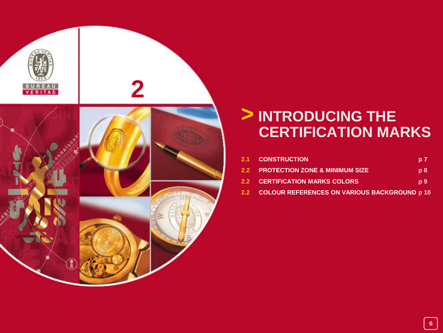

## **> INTRODUCING THE CERTIFICATION MARKS**

| <b>2.1 CONSTRUCTION</b>                          | p <sub>7</sub> |
|--------------------------------------------------|----------------|
| 2.2 PROTECTION ZONE & MINIMUM SIZE               | p8             |
| <b>2.2 CERTIFICATION MARKS COLORS</b>            | p <sub>9</sub> |
| 2.2 COLOUR REFERENCES ON VARIOUS BACKGROUND p 10 |                |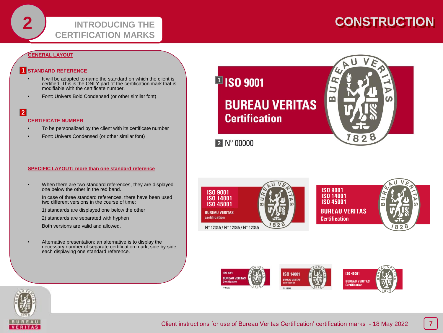## **CONSTRUCTION**

### **GENERAL LAYOUT**

### **STANDARD REFERENCE 1**

- It will be adapted to name the standard on which the client is certified. This is the ONLY part of the certification mark that is modifiable with the certificate number.
- Font: Univers Bold Condensed (or other similar font)

### **2**

#### **CERTIFICATE NUMBER**

- To be personalized by the client with its certificate number
- Font: Univers Condensed (or other similar font)

#### **SPECIFIC LAYOUT: more than one standard reference**

• When there are two standard references, they are displayed one below the other in the red band.

In case of three standard references, there have been used two different versions in the course of time:

1) standards are displayed one below the other

2) standards are separated with hyphen

Both versions are valid and allowed.

• Alternative presentation: an alternative is to display the necessary number of separate certification mark, side by side, each displaying one standard reference.







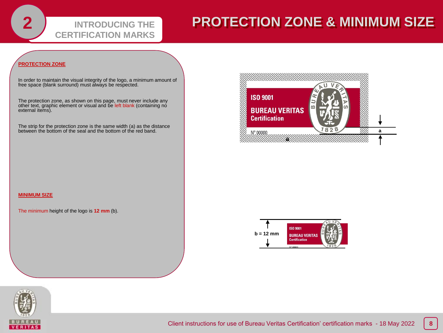## **PROTECTION ZONE & MINIMUM SIZE**

### **PROTECTION ZONE**

In order to maintain the visual integrity of the logo, a minimum amount of free space (blank surround) must always be respected.

**INTRODUCING THE** 

**CERTIFICATION MARKS**

The protection zone, as shown on this page, must never include any<br>other text, graphic element or visual and be left blank (containing no external items).

The strip for the protection zone is the same width (a) as the distance between the bottom of the seal and the bottom of the red band.



#### **MINIMUM SIZE**

The minimum height of the logo is **12 mm** (b).



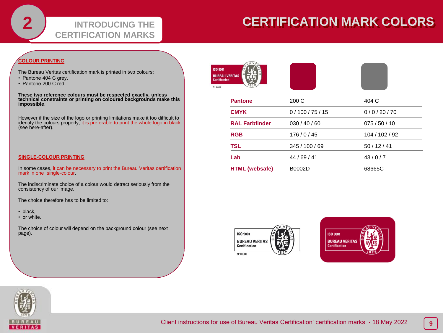### **INTRODUCING THE CERTIFICATION MARKS**

## **CERTIFICATION MARK COLORS**

### **COLOUR PRINTING**

The Bureau Veritas certification mark is printed in two colours:

- Pantone 404 C grey,
- Pantone 200 C red.

**These two reference colours must be respected exactly, unless technical constraints or printing on coloured backgrounds make this impossible**.

However if the size of the logo or printing limitations make it too difficult to identify the colours properly, it is preferable to print the whole logo in black (see here-after).

#### **SINGLE-COLOUR PRINTING**

In some cases, it can be necessary to print the Bureau Veritas certification mark in one single-colour.

The indiscriminate choice of a colour would detract seriously from the consistency of our image.

The choice therefore has to be limited to:

• black,

• or white.

The choice of colour will depend on the background colour (see next page).





| <b>Pantone</b>        | 200 C        | 404 C          |
|-----------------------|--------------|----------------|
| <b>CMYK</b>           | 0/100/75/15  | 0/0/20/70      |
| <b>RAL Farbfinder</b> | 030/40/60    | 075/50/10      |
| <b>RGB</b>            | 176/0/45     | 104 / 102 / 92 |
| <b>TSL</b>            | 345/100/69   | 50/12/41       |
| Lab                   | 44 / 69 / 41 | 43/0/7         |
| <b>HTML (websafe)</b> | B0002D       | 68665C         |





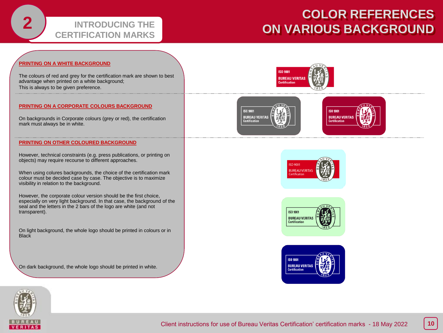### **INTRODUCING THE CERTIFICATION MARKS**

## **COLOR REFERENCES ON VARIOUS BACKGROUND**

### **PRINTING ON A WHITE BACKGROUND**

The colours of red and grey for the certification mark are shown to best advantage when printed on a white background; This is always to be given preference.

#### **PRINTING ON A CORPORATE COLOURS BACKGROUND**

On backgrounds in Corporate colours (grey or red), the certification mark must always be in white.

#### **PRINTING ON OTHER COLOURED BACKGROUND**

However, technical constraints (e.g. press publications, or printing on objects) may require recourse to different approaches.

When using colures backgrounds, the choice of the certification mark colour must be decided case by case. The objective is to maximize visibility in relation to the background.

However, the corporate colour version should be the first choice, especially on very light background. In that case, the background of the seal and the letters in the 2 bars of the logo are white (and not transparent).

On light background, the whole logo should be printed in colours or in **Black** 

On dark background, the whole logo should be printed in white.











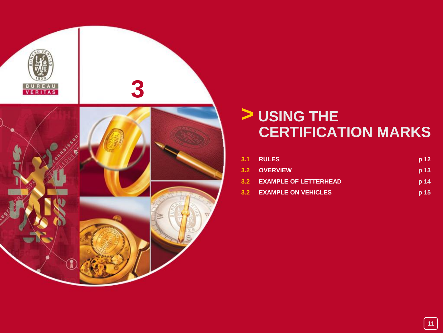

## **> USING THE CERTIFICATION MARKS**

| 3.1 RULES                 | p 12            |
|---------------------------|-----------------|
| 3.2 OVERVIEW              | p 13            |
| 3.2 EXAMPLE OF LETTERHEAD | p <sub>14</sub> |
| 3.2 EXAMPLE ON VEHICLES   | p 15            |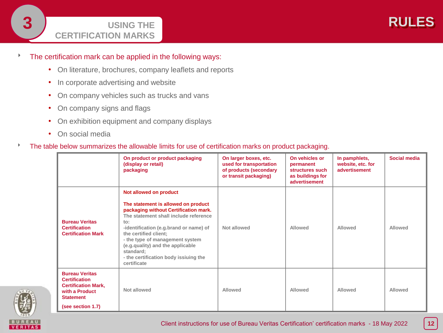### **USING THE CERTIFICATION MARKS**

### The certification mark can be applied in the following ways:

- On literature, brochures, company leaflets and reports
- In corporate advertising and website
- On company vehicles such as trucks and vans
- On company signs and flags
- On exhibition equipment and company displays
- On social media

### The table below summarizes the allowable limits for use of certification marks on product packaging.

|                                                                                                                                        | On product or product packaging<br>(display or retail)<br>packaging                                                                                                                                                                                                                                                                                                    | On larger boxes, etc.<br>used for transportation<br>of products (secondary<br>or transit packaging) | On vehicles or<br>permanent<br>structures such<br>as buildings for<br>advertisement | In pamphlets,<br>website, etc. for<br>advertisement | Social media |
|----------------------------------------------------------------------------------------------------------------------------------------|------------------------------------------------------------------------------------------------------------------------------------------------------------------------------------------------------------------------------------------------------------------------------------------------------------------------------------------------------------------------|-----------------------------------------------------------------------------------------------------|-------------------------------------------------------------------------------------|-----------------------------------------------------|--------------|
| <b>Bureau Veritas</b><br><b>Certification</b><br><b>Certification Mark</b>                                                             | Not allowed on product<br>The statement is allowed on product<br>packaging without Certification mark.<br>The statement shall include reference<br>to:<br>-identification (e.g.brand or name) of<br>the certified client;<br>- the type of management system<br>(e.g. quality) and the applicable<br>standard;<br>- the certification body issiuing the<br>certificate | Not allowed                                                                                         | Allowed                                                                             | Allowed                                             | Allowed      |
| <b>Bureau Veritas</b><br><b>Certification</b><br><b>Certification Mark,</b><br>with a Product<br><b>Statement</b><br>(see section 1.7) | Not allowed                                                                                                                                                                                                                                                                                                                                                            | Allowed                                                                                             | Allowed                                                                             | Allowed                                             | Allowed      |

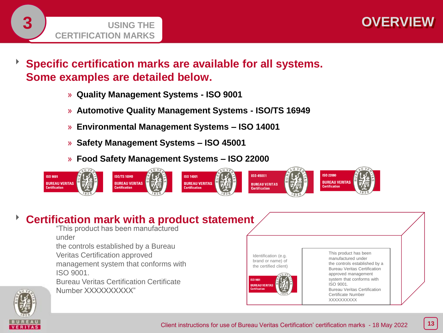

 **Specific certification marks are available for all systems. Some examples are detailed below.**



- » **Automotive Quality Management Systems - ISO/TS 16949**
- » **Environmental Management Systems – ISO 14001**
- » **Safety Management Systems – ISO 45001**
- » **Food Safety Management Systems – ISO 22000**



## **Certification mark with a product statement**

"This product has been manufactured under

the controls established by a Bureau

Veritas Certification approved

management system that conforms with ISO 9001.

Bureau Veritas Certification Certificate Number XXXXXXXXX<sup>"</sup>



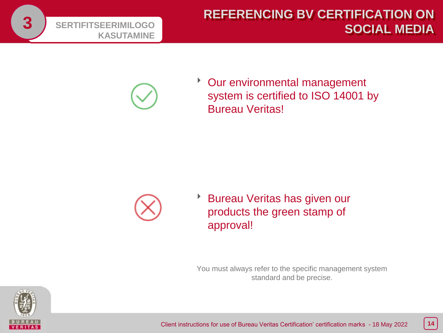



\* Our environmental management system is certified to ISO 14001 by Bureau Veritas!



**Bureau Veritas has given our** products the green stamp of approval!

You must always refer to the specific management system standard and be precise.

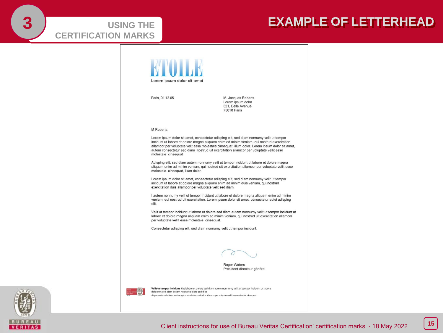# **CERTIFICATION MARKS**

## **USING THE REALLY CONSUMER SEXAMPLE OF LETTERHEAD**



Paris, 01.12.05

M. Jacques Roberts Lorem ipsum dolor 321, Belle Avenue 75018 Paris

#### M Roberts,

Lorem ipsum dolor sit amet, consectetur adisping elit, sed diam nonnumy velit ut tempor incidunt ut labore et dolore magna aliquam enim ad minim veniam, qui nostrud exercitation allamcor per voluptate velit esse molestaie cinsequat, illum dolor. Lorem ipsum dolor sit amet, autem consectetur sed diam nostrud uit exercitation allamcor per voluptate vellit esse molestaie cinsequat

Adisping elit, sed diam autem nonnumy velit ut tempor incidunt ut labore et dolore magna aliquam enim ad minim veniam, qui nostrud uit exercitation allamcor per voluptate vellit esse molestaie cinsequat, illum dolor.

Lorem ipsum dolor sit amet, consectetur adisping elit, sed diam nonnumy velit ut tempor incidunt ut labore et dolore magna aliquam enim ad minim duis veniam, qui nostrud exercitation duis allamcor per voluptate velit sed diam.

I autem nonnumy velit ut tempor incidunt ut labore et dolore magna aliguam enim ad minim veniam, qui nostrud uit exercitation. Lorem ipsum dolor sit amet, consectetur autei adisping elit

Velit ut tempor incidunt ut labore et dolore sed diam autem nonnumy velit ut tempor incidunt ut labore et dolore magna aliquam enim ad minim veniam, qui nostrud uit exercitation allamcor per voluptate vellit esse molestaie cinsequat.

Consectetur adisping elit, sed diam nonnumy velit ut tempor incidunt.



Roger Waters Président-directeur général



Velit ut tempor incidunt Kut labore et dolore sed diam autem nonnumy velit ut tempor incidunt ut labore dolore ma ed diam autem nogn et dolore sed diaa quam enim ad minim veniam, qui nostrud uit exercitation allamcor per voluptate vellit esse molestaie cinsequat.